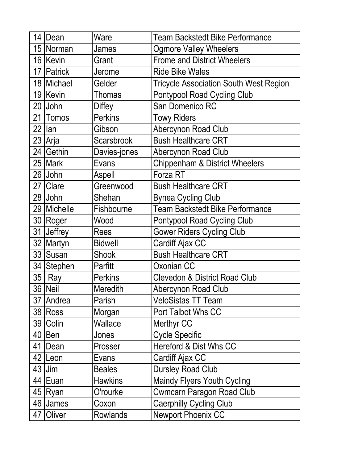|                 | 14   Dean     | Ware              | <b>Team Backstedt Bike Performance</b>        |
|-----------------|---------------|-------------------|-----------------------------------------------|
|                 | 15 Norman     | James             | <b>Ogmore Valley Wheelers</b>                 |
|                 | 16 Kevin      | Grant             | <b>Frome and District Wheelers</b>            |
|                 | 17   Patrick  | Jerome            | <b>Ride Bike Wales</b>                        |
|                 | 18 Michael    | Gelder            | <b>Tricycle Association South West Region</b> |
|                 | 19 Kevin      | <b>Thomas</b>     | <b>Pontypool Road Cycling Club</b>            |
|                 | 20 John       | <b>Diffey</b>     | San Domenico RC                               |
|                 | 21 Tomos      | <b>Perkins</b>    | <b>Towy Riders</b>                            |
| 22              | lan           | Gibson            | Abercynon Road Club                           |
|                 | 23 Arja       | <b>Scarsbrook</b> | <b>Bush Healthcare CRT</b>                    |
|                 | 24 Gethin     | Davies-jones      | Abercynon Road Club                           |
|                 | 25   Mark     | Evans             | <b>Chippenham &amp; District Wheelers</b>     |
|                 | 26 John       | Aspell            | Forza RT                                      |
|                 | 27 Clare      | Greenwood         | <b>Bush Healthcare CRT</b>                    |
|                 | 28 John       | Shehan            | <b>Bynea Cycling Club</b>                     |
|                 | 29   Michelle | Fishbourne        | <b>Team Backstedt Bike Performance</b>        |
|                 | 30 Roger      | Wood              | <b>Pontypool Road Cycling Club</b>            |
|                 | 31 Jeffrey    | <b>Rees</b>       | <b>Gower Riders Cycling Club</b>              |
|                 | 32 Martyn     | <b>Bidwell</b>    | <b>Cardiff Ajax CC</b>                        |
|                 | 33 Susan      | <b>Shook</b>      | <b>Bush Healthcare CRT</b>                    |
|                 | 34   Stephen  | Parfitt           | Oxonian CC                                    |
| 35 <sup>5</sup> | Ray           | <b>Perkins</b>    | <b>Clevedon &amp; District Road Club</b>      |
|                 | 36 Neil       | Meredith          | Abercynon Road Club                           |
| 37              | Andrea        | Parish            | <b>VeloSistas TT Team</b>                     |
|                 | 38 Ross       | Morgan            | Port Talbot Whs CC                            |
| 39              | Colin         | Wallace           | Merthyr CC                                    |
|                 | $40$   Ben    | Jones             | <b>Cycle Specific</b>                         |
| 41              | Dean          | Prosser           | Hereford & Dist Whs CC                        |
|                 | 42 Leon       | Evans             | Cardiff Ajax CC                               |
|                 | $43$ Jim      | <b>Beales</b>     | <b>Dursley Road Club</b>                      |
|                 | 44   Euan     | <b>Hawkins</b>    | <b>Maindy Flyers Youth Cycling</b>            |
|                 | 45 Ryan       | O'rourke          | <b>Cwmcarn Paragon Road Club</b>              |
|                 | 46 James      | Coxon             | <b>Caerphilly Cycling Club</b>                |
| 47              | Oliver        | Rowlands          | <b>Newport Phoenix CC</b>                     |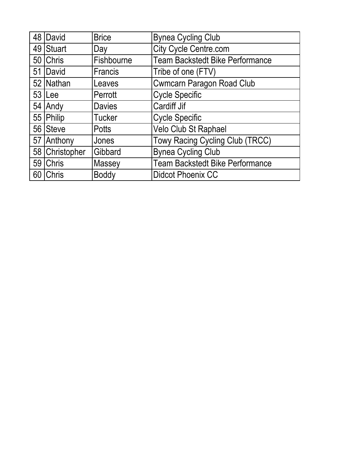|    | 48   David     | <b>Brice</b>   | <b>Bynea Cycling Club</b>              |
|----|----------------|----------------|----------------------------------------|
|    | 49 Stuart      | Day            | <b>City Cycle Centre.com</b>           |
|    | 50 Chris       | Fishbourne     | <b>Team Backstedt Bike Performance</b> |
| 51 | David          | <b>Francis</b> | Tribe of one (FTV)                     |
|    | 52 Nathan      | Leaves         | <b>Cwmcarn Paragon Road Club</b>       |
|    | 53 ILee        | Perrott        | <b>Cycle Specific</b>                  |
|    | 54 Andy        | Davies         | <b>Cardiff Jif</b>                     |
|    | 55 Philip      | <b>Tucker</b>  | <b>Cycle Specific</b>                  |
|    | 56 Steve       | <b>Potts</b>   | Velo Club St Raphael                   |
|    | 57 Anthony     | Jones          | Towy Racing Cycling Club (TRCC)        |
|    | 58 Christopher | Gibbard        | <b>Bynea Cycling Club</b>              |
|    | 59 Chris       | Massey         | <b>Team Backstedt Bike Performance</b> |
|    | 60 Chris       | <b>Boddy</b>   | <b>Didcot Phoenix CC</b>               |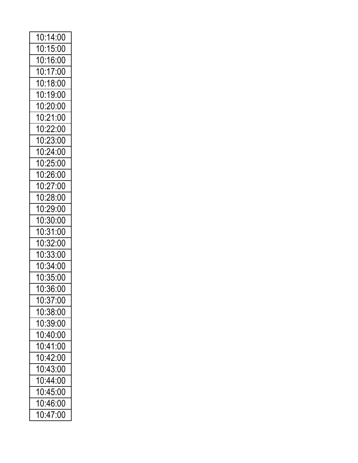| 10:14:00 |
|----------|
| 10:15:00 |
| 10:16:00 |
| 10:17:00 |
| 10:18:00 |
| 10:19:00 |
| 10:20:00 |
| 10:21:00 |
| 10:22:00 |
| 10:23:00 |
| 10:24:00 |
| 10:25:00 |
| 10:26:00 |
| 10:27:00 |
| 10:28:00 |
| 10:29:00 |
| 10:30:00 |
| 10:31:00 |
| 10:32:00 |
| 10:33:00 |
| 10:34:00 |
| 0:35:00  |
| 10:36:00 |
| 10:37:00 |
| 10:38:00 |
| 10:39:00 |
| 10:40:00 |
| 10:41:00 |
| 10:42:00 |
| 10:43:00 |
| 10:44:00 |
| 10:45:00 |
| 10:46:00 |
| 10:47:00 |